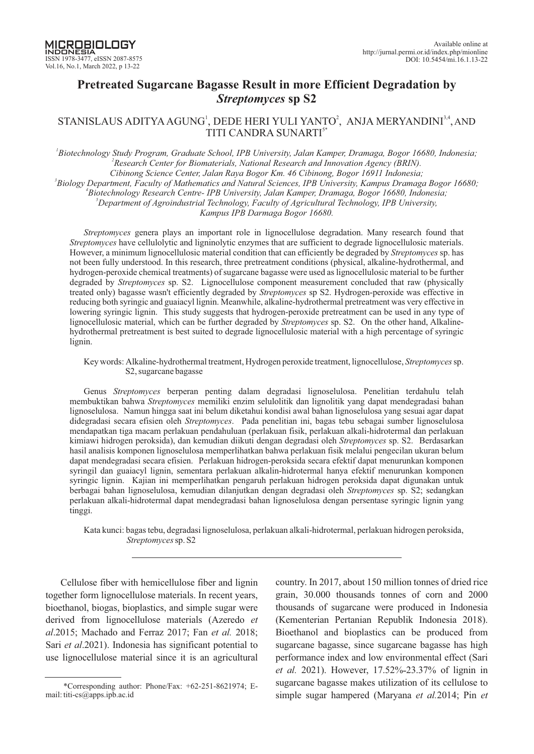# **Pretreated Sugarcane Bagasse Result in more Efficient Degradation by** *Streptomyces* **sp S2**

# STANISLAUS ADITYA AGUNG<sup>1</sup>, DEDE HERI YULI YANTO<sup>2</sup>, ANJA MERYANDINI<sup>3,4</sup>, AND TITI CANDRA SUNARTI<sup>5\*</sup>

<sup>1</sup>Biotechnology Study Program, Graduate School, IPB University, Jalan Kamper, Dramaga, Bogor 16680, Indonesia; *2 Research Center for Biomaterials, National Research and Innovation Agency (BRIN). Cibinong Science Center, Jalan Raya Bogor Km. 46 Cibinong, Bogor 16911 Indonesia;* 

*3 Biology Department, Faculty of Mathematics and Natural Sciences, IPB University, Kampus Dramaga Bogor 16680;*

*4 Biotechnology Research Centre- IPB University, Kamper, Dramaga, Bogor 16680, Indonesia Jalan ;*

*<sup>5</sup>Department of Agroindustrial Technology, Faculty of Agricultural Technology, IPB University,*

*Kampus IPB Darmaga Bogor 16680.*

*Streptomyces* genera plays an important role in lignocellulose degradation. Many research found that *Streptomyces* have cellulolytic and ligninolytic enzymes that are sufficient to degrade lignocellulosic materials. However, a minimum lignocellulosic material condition that can efficiently be degraded by *Streptomyces* sp. has not been fully understood. In this research, three pretreatment conditions (physical, alkaline-hydrothermal, and hydrogen-peroxide chemical treatments) of sugarcane bagasse were used as lignocellulosic material to be further degraded by *Streptomyces* sp. S2. Lignocellulose component measurement concluded that raw (physically treated only) bagasse wasn't efficiently degraded by Streptomyces sp S2. Hydrogen-peroxide was effective in reducing both syringic and guaiacyl lignin. Meanwhile, alkaline-hydrothermal pretreatment was very effective in lowering syringic lignin. This study suggests that hydrogen-peroxide pretreatment can be used in any type of lignocellulosic material, which can be further degraded by *Streptomyces* sp. S2. On the other hand, Alkalinehydrothermal pretreatment is best suited to degrade lignocellulosic material with a high percentage of syringic lignin.

Key words: Alkaline-hydrothermal treatment, Hydrogen peroxide treatment, lignocellulose, *Streptomyces* sp. S2, sugarcane bagasse

Genus Streptomyces berperan penting dalam degradasi lignoselulosa. Penelitian terdahulu telah membuktikan bahwa *Streptomyces* memiliki enzim selulolitik dan lignolitik yang dapat mendegradasi bahan lignoselulosa. Namun hingga saat ini belum diketahui kondisi awal bahan lignoselulosa yang sesuai agar dapat didegradasi secara efisien oleh Streptomyces. Pada penelitian ini, bagas tebu sebagai sumber lignoselulosa mendapatkan tiga macam perlakuan pendahuluan (perlakuan fisik, perlakuan alkali-hidrotermal dan perlakuan kimiawi hidrogen peroksida), dan kemudian diikuti dengan degradasi oleh *Streptomyces* sp. S2. Berdasarkan hasil analisis komponen lignoselulosa memperlihatkan bahwa perlakuan fisik melalui pengecilan ukuran belum dapat mendegradasi secara efisien. Perlakuan hidrogen-peroksida secara efektif dapat menurunkan komponen syringil dan guaiacyl lignin, sementara perlakuan alkalin-hidrotermal hanya efektif menurunkan komponen syringic lignin. Kajian ini memperlihatkan pengaruh perlakuan hidrogen peroksida dapat digunakan untuk berbagai bahan lignoselulosa, kemudian dilanjutkan dengan degradasi oleh *Streptomyces* sp. S2; sedangkan perlakuan alkali-hidrotermal dapat mendegradasi bahan lignoselulosa dengan persentase syringic lignin yang tinggi.

Kata kunci: bagas tebu, degradasi lignoselulosa, perlakuan alkali-hidrotermal, perlakuan hidrogen peroksida, *Streptomyces*sp. S2

Cellulose fiber with hemicellulose fiber and lignin together form lignocellulose materials. In recent years, bioethanol, biogas, bioplastics, and simple sugar were derived from lignocellulose materials (Azeredo *et al.* 2015; Machado and Ferraz 2017; Fan et al. 2018; Sari *et al.* 2021). Indonesia has significant potential to use lignocellulose material since it is an agricultural

country. In 2017, about 150 million tonnes of dried rice grain, 30.000 thousands tonnes of corn and 2000 thousands of sugarcane were produced in Indonesia (Kementerian Pertanian Republik Indonesia 2018). Bioethanol and bioplastics can be produced from sugarcane bagasse, since sugarcane bagasse has high performance index and low environmental effect (Sari *et al.* 2021). However, 17.52%-23.37% of lignin in sugarcane bagasse makes utilization of its cellulose to simple sugar hampered (Maryana *et al.* 2014; Pin *et* 

<sup>\*</sup>Corresponding author: Phone/Fax:  $+62-251-8621974$ ; Email: titi-cs@apps.ipb.ac.id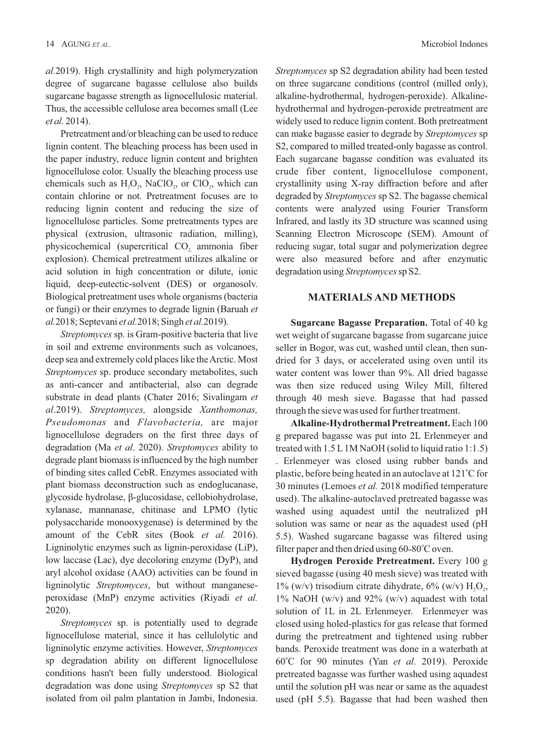*al.*2019). High crystallinity and high polymeryzation degree of sugarcane bagasse cellulose also builds sugarcane bagasse strength as lignocellulosic material. Thus, the accessible cellulose area becomes small (Lee *et al.* 2014).

Pretreatment and/or bleaching can be used to reduce lignin content. The bleaching process has been used in the paper industry, reduce lignin content and brighten lignocellulose color. Usually the bleaching process use chemicals such as  $H<sub>2</sub>O<sub>2</sub>$ , NaClO<sub>2</sub>, or ClO<sub>2</sub>, which can contain chlorine or not. Pretreatment focuses are to reducing lignin content and reducing the size of lignocellulose particles. Some pretreatments types are physical (extrusion, ultrasonic radiation, milling), physicochemical (supercritical  $CO<sub>2</sub>$  ammonia fiber explosion). Chemical pretreatment utilizes alkaline or acid solution in high concentration or dilute, ionic liquid, deep-eutectic-solvent (DES) or organosolv. Biological pretreatment uses whole organisms (bacteria or fungi) or their enzymes to degrade lignin (Baruah *et al.* 2018; Septevani *et al.* 2018; Singh *et al.* 2019).

*Streptomyces* sp. is Gram-positive bacteria that live in soil and extreme environments such as volcanoes, deep sea and extremely cold places like theArctic. Most *Streptomyces* sp. produce secondary metabolites, such as anti-cancer and antibacterial, also can degrade substrate in dead plants (Chater 2016; Sivalingam *et al.2019*). Streptomyces, alongside Xanthomonas, *Pseudomonas* and *Flavobacteria*, are major lignocellulose degraders on the first three days of degradation (Ma et al. 2020). Streptomyces ability to degrade plant biomass is influenced by the high number of binding sites called CebR. Enzymes associated with plant biomass deconstruction such as endoglucanase, glycoside hydrolase, β-glucosidase, cellobiohydrolase, xylanase, mannanase, chitinase and LPMO (lytic polysaccharide monooxygenase) is determined by the amount of the CebR sites (Book et al. 2016). Ligninolytic enzymes such as lignin-peroxidase (LiP), low laccase (Lac), dye decoloring enzyme (DyP), and aryl alcohol oxidase (AAO) activities can be found in ligninolytic *Streptomyces*, but without manganeseperoxidase (MnP) enzyme activities (Riyadi *et al.* 2020).

*Streptomyces* sp. is potentially used to degrade lignocellulose material, since it has cellulolytic and ligninolytic enzyme activities. However, *Streptomyces* sp degradation ability on different lignocellulose conditions hasn't been fully understood. Biological degradation was done using *Streptomyces* sp S2 that isolated from oil palm plantation in Jambi, Indonesia.

*Streptomyces* sp S2 degradation ability had been tested on three sugarcane conditions (control (milled only), alkaline-hydrothermal, hydrogen-peroxide). Alkalinehydrothermal and hydrogen-peroxide pretreatment are widely used to reduce lignin content. Both pretreatment can make bagasse easier to degrade by *Streptomyces* sp S2, compared to milled treated-only bagasse as control. Each sugarcane bagasse condition was evaluated its crude fiber content, lignocellulose component, crystallinity using X-ray diffraction before and after degraded by *Streptomyces* sp S2. The bagasse chemical contents were analyzed using Fourier Transform Infrared, and lastly its 3D structure was scanned using Scanning Electron Microscope (SEM). Amount of reducing sugar, total sugar and polymerization degree were also measured before and after enzymatic degradation using Streptomyces sp S2.

#### **MATERIALS AND METHODS**

**Sugarcane Bagasse Preparation.** Total of 40 kg wet weight of sugarcane bagasse from sugarcane juice seller in Bogor, was cut, washed until clean, then sundried for 3 days, or accelerated using oven until its water content was lower than 9%. All dried bagasse was then size reduced using Wiley Mill, filtered through 40 mesh sieve. Bagasse that had passed through the sieve was used for further treatment.

**Alkaline-Hydrothermal Pretreatment.** Each 100 g prepared bagasse was put into 2L Erlenmeyer and treated with 1.5 L1M NaOH (solid to liquid ratio 1:1.5) . Erlenmeyer was closed using rubber bands and plastic, before being heated in an autoclave at  $121^{\circ}$ C for 30 minutes (Lemoes et al. 2018 modified temperature used). The alkaline-autoclaved pretreated bagasse was washed using aquadest until the neutralized pH solution was same or near as the aquadest used (pH 5.5). Washed sugarcane bagasse was filtered using filter paper and then dried using  $60 - 80^{\circ}$ C oven.

**Hydrogen Peroxide Pretreatment.** Every 100 g sieved bagasse (using 40 mesh sieve) was treated with  $1\%$  (w/v) trisodium citrate dihydrate,  $6\%$  (w/v) H<sub>2</sub>O<sub>2</sub>,  $1\%$  NaOH (w/v) and 92% (w/v) aquadest with total solution of 1L in 2L Erlenmeyer. Erlenmeyer was closed using holed-plastics for gas release that formed during the pretreatment and tightened using rubber bands. Peroxide treatment was done in a waterbath at 60°C for 90 minutes (Yan et al. 2019). Peroxide pretreated bagasse was further washed using aquadest until the solution pH was near or same as the aquadest used (pH 5.5). Bagasse that had been washed then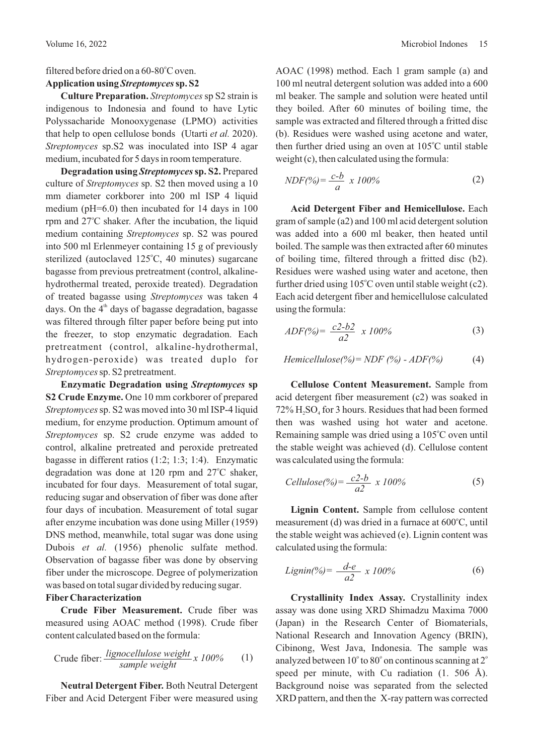# filtered before dried on a  $60-80^{\circ}$ C oven.

# Application using Streptomyces sp. S2

**Culture Preparation.** *Streptomyces*sp S2 strain is indigenous to Indonesia and found to have Lytic Polyssacharide Monooxygenase (LPMO) activities that help to open cellulose bonds (Utarti et al. 2020). *Streptomyces* sp.S2 was inoculated into ISP 4 agar medium, incubated for 5 days in room temperature.

**Degradation using Streptomyces sp. S2.** Prepared culture of *Streptomyces* sp. S2 then moved using a 10 mm diameter corkborer into 200 ml ISP 4 liquid medium (pH=6.0) then incubated for 14 days in 100 rpm and  $27^{\circ}$ C shaker. After the incubation, the liquid medium containing *Streptomyces* sp. S2 was poured into 500 ml Erlenmeyer containing 15 g of previously sterilized (autoclaved  $125^{\circ}$ C, 40 minutes) sugarcane bagasse from previous pretreatment (control, alkalinehydrothermal treated, peroxide treated). Degradation of treated bagasse using Streptomyces was taken 4 days. On the  $4<sup>th</sup>$  days of bagasse degradation, bagasse was filtered through filter paper before being put into the freezer, to stop enzymatic degradation. Each pretreatment (control, alkaline-hydrothermal, hydrogen-peroxide) was treated duplo for *Streptomyces*sp. S2 pretreatment.

**Enzymatic Degradation using Streptomyces sp S2 Crude Enzyme.** One 10 mm corkborer of prepared *Streptomyces*sp. S2 was moved into 30 ml ISP-4 liquid medium, for enzyme production. Optimum amount of *Streptomyces* sp. S2 crude enzyme was added to control, alkaline pretreated and peroxide pretreated bagasse in different ratios (1:2; 1:3; 1:4). Enzymatic degradation was done at 120 rpm and  $27^{\circ}$ C shaker, incubated for four days. Measurement of total sugar, reducing sugar and observation of fiber was done after four days of incubation. Measurement of total sugar after enzyme incubation was done using Miller (1959) DNS method, meanwhile, total sugar was done using Dubois et al. (1956) phenolic sulfate method. Observation of bagasse fiber was done by observing fiber under the microscope. Degree of polymerization was based on total sugar divided by reducing sugar.

## **Fiber Characterization**

**Crude Fiber Measurement.** Crude fiber was measured using AOAC method (1998). Crude fiber content calculated based on the formula:

Crude fiber: 
$$
\frac{lignocellulose weight}{sample weight} x 100\%
$$
 (1)

**Neutral Detergent Fiber.** Both Neutral Detergent Fiber and Acid Detergent Fiber were measured using

AOAC (1998) method. Each 1 gram sample (a) and 100 ml neutral detergent solution was added into a 600 ml beaker. The sample and solution were heated until they boiled. After 60 minutes of boiling time, the sample was extracted and filtered through a fritted disc (b). Residues were washed using acetone and water, then further dried using an oven at  $105^{\circ}$ C until stable weight (c), then calculated using the formula:

$$
NDF(\%) = \frac{c-b}{a} \times 100\%
$$
 (2)

**Acid Detergent Fiber and Hemicellulose.** Each gram of sample (a2) and 100 ml acid detergent solution was added into a 600 ml beaker, then heated until boiled. The sample was then extracted after 60 minutes of boiling time, filtered through a fritted disc (b2). Residues were washed using water and acetone, then further dried using  $105^{\circ}$ C oven until stable weight (c2). Each acid detergent fiber and hemicellulose calculated using the formula:

$$
ADF(\%) = \frac{c2-b2}{a2} \times 100\%
$$
 (3)

$$
Hemicellulose(\%) = NDF(\%) - ADF(\%) \tag{4}
$$

**Cellulose Content Measurement.** Sample from acid detergent fiber measurement (c2) was soaked in  $72\%$  H<sub>2</sub>SO<sub>4</sub> for 3 hours. Residues that had been formed then was washed using hot water and acetone. Remaining sample was dried using a  $105^{\circ}$ C oven until the stable weight was achieved (d). Cellulose content was calculated using the formula:

$$
Cellulose(%) = \frac{c2-b}{a2} \times 100\%
$$
\n(5)

**Lignin Content.** Sample from cellulose content measurement (d) was dried in a furnace at  $600^{\circ}$ C, until the stable weight was achieved (e). Lignin content was calculated using the formula:

$$
Lignin(\%) = \frac{d-e}{a^2} \times 100\%
$$
 (6)

**Crystallinity Index Assay.** Crystallinity index assay was done using XRD Shimadzu Maxima 7000 (Japan) in the Research Center of Biomaterials, National Research and Innovation Agency (BRIN), Cibinong, West Java, Indonesia. The sample was analyzed between  $10^{\circ}$  to  $80^{\circ}$  on continous scanning at  $2^{\circ}$ speed per minute, with Cu radiation (1. 506 Å). Background noise was separated from the selected XRD pattern, and then the X-ray pattern was corrected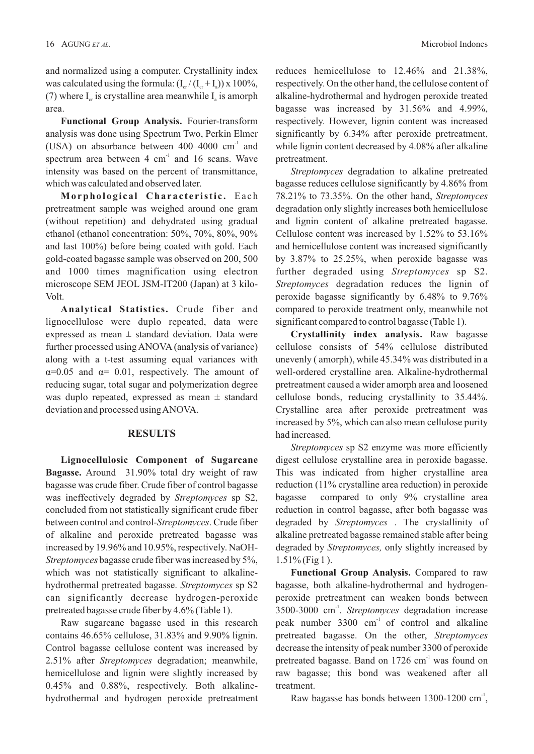and normalized using a computer. Crystallinity index was calculated using the formula:  $(I_{cr}/(I_{cr}+I_s)) \times 100\%,$ (7) where  $I<sub>x</sub>$  is crystalline area meanwhile  $I<sub>y</sub>$  is amorph area.

**Functional Group Analysis.** Fourier-transform analysis was done using Spectrum Two, Perkin Elmer (USA) on absorbance between  $400-4000$  cm<sup>-1</sup> and spectrum area between  $4 \text{ cm}^{-1}$  and  $16 \text{ scans}$ . Wave intensity was based on the percent of transmittance, which was calculated and observed later.

**Morphological Characteristic.** Each pretreatment sample was weighed around one gram (without repetition) and dehydrated using gradual ethanol (ethanol concentration: 50%, 70%, 80%, 90% and last 100%) before being coated with gold. Each gold-coated bagasse sample was observed on 200, 500 and 1000 times magnification using electron microscope SEM JEOL JSM-IT200 (Japan) at 3 kilo-Volt.

**Analytical Statistics.** Crude fiber and lignocellulose were duplo repeated, data were expressed as mean  $\pm$  standard deviation. Data were further processed using ANOVA (analysis of variance) along with a t-test assuming equal variances with  $\alpha=0.05$  and  $\alpha=0.01$ , respectively. The amount of reducing sugar, total sugar and polymerization degree was duplo repeated, expressed as mean  $\pm$  standard deviation and processed usingANOVA.

#### **RESULTS**

**Lignocellulosic Component of Sugarcane Bagasse.** Around 31.90% total dry weight of raw bagasse was crude fiber. Crude fiber of control bagasse was ineffectively degraded by *Streptomyces* sp S2, concluded from not statistically significant crude fiber between control and control-Streptomyces. Crude fiber of alkaline and peroxide pretreated bagasse was increased by 19.96% and 10.95%, respectively. NaOH-*Streptomyces* bagasse crude fiber was increased by 5%, which was not statistically significant to alkalinehydrothermal pretreated bagasse. Streptomyces sp S2 can significantly decrease hydrogen-peroxide pretreated bagasse crude fiber by 4.6% (Table 1).

Raw sugarcane bagasse used in this research contains 46.65% cellulose, 31.83% and 9.90% lignin. Control bagasse cellulose content was increased by 2.51% after Streptomyces degradation; meanwhile, hemicellulose and lignin were slightly increased by 0.45% and 0.88%, respectively. Both alkalinehydrothermal and hydrogen peroxide pretreatment reduces hemicellulose to 12.46% and 21.38%, respectively. On the other hand, the cellulose content of alkaline-hydrothermal and hydrogen peroxide treated bagasse was increased by 31.56% and 4.99%, respectively. However, lignin content was increased significantly by 6.34% after peroxide pretreatment, while lignin content decreased by 4.08% after alkaline pretreatment.

*Streptomyces* degradation to alkaline pretreated bagasse reduces cellulose significantly by 4.86% from 78.21% to 73.35%. On the other hand, *Streptomyces* degradation only slightly increases both hemicellulose and lignin content of alkaline pretreated bagasse. Cellulose content was increased by 1.52% to 53.16% and hemicellulose content was increased significantly by 3.87% to 25.25%, when peroxide bagasse was further degraded using Streptomyces sp S2. *Streptomyces* degradation reduces the lignin of peroxide bagasse significantly by 6.48% to 9.76% compared to peroxide treatment only, meanwhile not significant compared to control bagasse (Table 1).

**Crystallinity index analysis.** Raw bagasse cellulose consists of 54% cellulose distributed unevenly ( amorph), while 45.34% was distributed in a well-ordered crystalline area. Alkaline-hydrothermal pretreatment caused a wider amorph area and loosened cellulose bonds, reducing crystallinity to 35.44%. Crystalline area after peroxide pretreatment was increased by 5%, which can also mean cellulose purity had increased.

*Streptomyces* sp S2 enzyme was more efficiently digest cellulose crystalline area in peroxide bagasse. This was indicated from higher crystalline area reduction (11% crystalline area reduction) in peroxide bagasse compared to only 9% crystalline area reduction in control bagasse, after both bagasse was degraded by Streptomyces . The crystallinity of alkaline pretreated bagasse remained stable after being degraded by *Streptomyces*, only slightly increased by  $1.51\%$  (Fig 1).

**Functional Group Analysis.** Compared to raw bagasse, both alkaline-hydrothermal and hydrogenperoxide pretreatment can weaken bonds between 3500-3000 cm<sup>-1</sup>. Streptomyces degradation increase peak number  $3300 \text{ cm}^{-1}$  of control and alkaline pretreated bagasse. On the other, *Streptomyces* decrease the intensity of peak number 3300 of peroxide pretreated bagasse. Band on  $1726 \text{ cm}^{-1}$  was found on raw bagasse; this bond was weakened after all treatment.

Raw bagasse has bonds between 1300-1200 cm<sup>-1</sup>,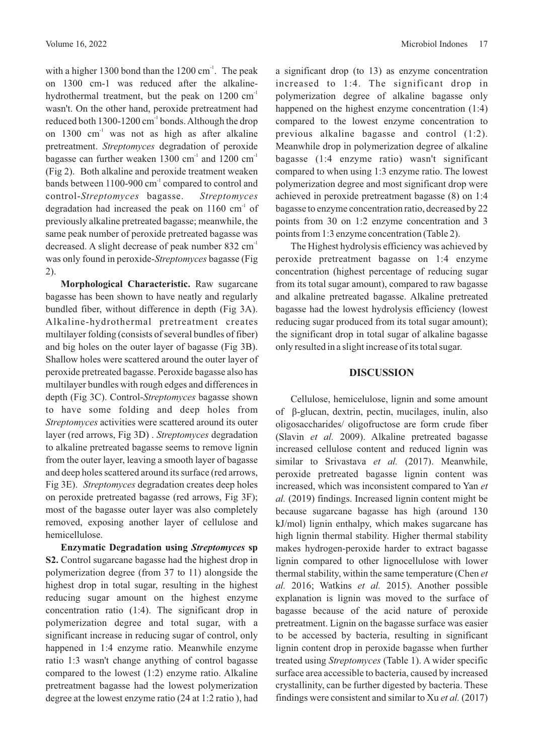with a higher 1300 bond than the  $1200 \text{ cm}^{-1}$ . The peak on 1300 cm-1 was reduced after the alkalinehydrothermal treatment, but the peak on 1200 cm<sup>-1</sup> wasn't. On the other hand, peroxide pretreatment had reduced both  $1300-1200$  cm<sup>-1</sup> bonds. Although the drop on  $1300 \text{ cm}^{-1}$  was not as high as after alkaline pretreatment. Streptomyces degradation of peroxide bagasse can further weaken  $1300 \text{ cm}^2$  and  $1200 \text{ cm}^2$ (Fig 2). Both alkaline and peroxide treatment weaken bands between  $1100-900$  cm<sup>-1</sup> compared to control and control- bagasse. *Streptomyces Streptomyces* degradation had increased the peak on  $1160 \text{ cm}^3$  of previously alkaline pretreated bagasse; meanwhile, the same peak number of peroxide pretreated bagasse was decreased. A slight decrease of peak number 832 cm<sup>-1</sup> was only found in peroxide-Streptomyces bagasse (Fig 2).

**Morphological Characteristic.** Raw sugarcane bagasse has been shown to have neatly and regularly bundled fiber, without difference in depth (Fig 3A). Alkaline-hydrothermal pretreatment creates multilayer folding (consists of several bundles of fiber) and big holes on the outer layer of bagasse (Fig 3B). Shallow holes were scattered around the outer layer of peroxide pretreated bagasse. Peroxide bagasse also has multilayer bundles with rough edges and differences in depth (Fig 3C). Control-*Streptomyces* bagasse shown to have some folding and deep holes from *Streptomyces* activities were scattered around its outer layer (red arrows, Fig 3D). Streptomyces degradation to alkaline pretreated bagasse seems to remove lignin from the outer layer, leaving a smooth layer of bagasse and deep holes scattered around its surface (red arrows, Fig 3E). Streptomyces degradation creates deep holes on peroxide pretreated bagasse (red arrows, Fig 3F); most of the bagasse outer layer was also completely removed, exposing another layer of cellulose and hemicellulose.

**Enzymatic Degradation using Streptomyces sp S2.** Control sugarcane bagasse had the highest drop in polymerization degree (from 37 to 11) alongside the highest drop in total sugar, resulting in the highest reducing sugar amount on the highest enzyme concentration ratio (1:4). The significant drop in polymerization degree and total sugar, with a significant increase in reducing sugar of control, only happened in 1:4 enzyme ratio. Meanwhile enzyme ratio 1:3 wasn't change anything of control bagasse compared to the lowest (1:2) enzyme ratio. Alkaline pretreatment bagasse had the lowest polymerization degree at the lowest enzyme ratio (24 at 1:2 ratio ), had

a significant drop (to 13) as enzyme concentration increased to 1:4. The significant drop in polymerization degree of alkaline bagasse only happened on the highest enzyme concentration (1:4) compared to the lowest enzyme concentration to previous alkaline bagasse and control (1:2). Meanwhile drop in polymerization degree of alkaline bagasse (1:4 enzyme ratio) wasn't significant compared to when using 1:3 enzyme ratio. The lowest polymerization degree and most significant drop were achieved in peroxide pretreatment bagasse (8) on 1:4 bagasse to enzyme concentration ratio, decreased by 22 points from 30 on 1:2 enzyme concentration and 3 points from 1:3 enzyme concentration (Table 2).

The Highest hydrolysis efficiency was achieved by peroxide pretreatment bagasse on 1:4 enzyme concentration (highest percentage of reducing sugar from its total sugar amount), compared to raw bagasse and alkaline pretreated bagasse. Alkaline pretreated bagasse had the lowest hydrolysis efficiency (lowest reducing sugar produced from its total sugar amount); the significant drop in total sugar of alkaline bagasse only resulted in a slight increase of its total sugar.

### **DISCUSSION**

Cellulose, hemicelulose, lignin and some amount of β-glucan, dextrin, pectin, mucilages, inulin, also oligosaccharides/ oligofructose are form crude fiber (Slavin et al. 2009). Alkaline pretreated bagasse increased cellulose content and reduced lignin was similar to Srivastava et al. (2017). Meanwhile, peroxide pretreated bagasse lignin content was increased, which was inconsistent compared to Yan *et al.* (2019) findings. Increased lignin content might be because sugarcane bagasse has high (around 130 kJ/mol) lignin enthalpy, which makes sugarcane has high lignin thermal stability. Higher thermal stability makes hydrogen-peroxide harder to extract bagasse lignin compared to other lignocellulose with lower thermal stability, within the same temperature (Chen *et al.* 2016; Watkins et al. 2015). Another possible explanation is lignin was moved to the surface of bagasse because of the acid nature of peroxide pretreatment. Lignin on the bagasse surface was easier to be accessed by bacteria, resulting in significant lignin content drop in peroxide bagasse when further treated using *Streptomyces* (Table 1). A wider specific surface area accessible to bacteria, caused by increased crystallinity, can be further digested by bacteria. These findings were consistent and similar to  $Xu$  *et al.* (2017)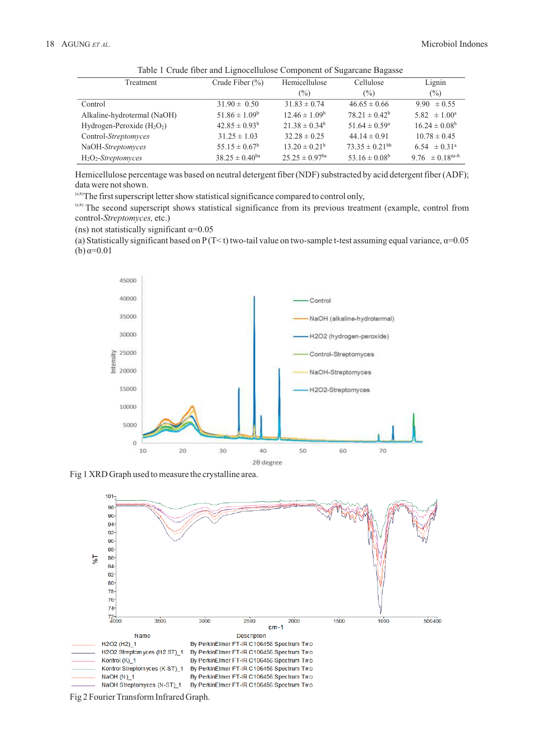| Treatment                      | Crude Fiber $(\% )$   | Hemicellulose                  | Cellulose                     | Lignin                          |
|--------------------------------|-----------------------|--------------------------------|-------------------------------|---------------------------------|
|                                |                       | $(\%)$                         | $(\%)$                        | $(\%)$                          |
| Control                        | $31.90 \pm 0.50$      | $31.83 \pm 0.74$               | $46.65 \pm 0.66$              | $9.90 \pm 0.55$                 |
| Alkaline-hydrotermal (NaOH)    | $51.86 \pm 1.09^b$    | $12.46 \pm 1.09^b$             | $78.21 \pm 0.42^b$            | 5.82 $\pm 1.00^{\circ}$         |
| Hydrogen-Peroxide $(H_2O_2)$   | $42.85 \pm 0.93^b$    | $21.38 \pm 0.34^b$             | $51.64 \pm 0.59^{\circ}$      | $16.24 \pm 0.08^b$              |
| Control-Streptomyces           | $31.25 \pm 1.03$      | $32.28 \pm 0.25$               | $44.14 \pm 0.91$              | $10.78 \pm 0.45$                |
| NaOH-Streptomyces              | $55.15 \pm 0.67^b$    | $13.20 \pm 0.21^b$             | $73.35 \pm 0.21^{bb}$         | $6.54 \pm 0.31^{\circ}$         |
| $H_2O_2$ - <i>Streptomyces</i> | $38.25 \pm 0.40^{ba}$ | $25.25 \pm 0.97$ <sup>ba</sup> | 53.16 $\pm$ 0.08 <sup>b</sup> | 9.76 $\pm$ 0.18 <sup>ns-b</sup> |

Table 1 Crude fiber and Lignocellulose Component of Sugarcane Bagasse

Hemicellulose percentage was based on neutral detergent fiber (NDF) substracted by acid detergent fiber (ADF); data were not shown.

(a,b)The first superscript letter show statistical significance compared to control only,

(a,b) The second superscript shows statistical significance from its previous treatment (example, control from control-Streptomyces, etc.)

(ns) not statistically significant  $\alpha$ =0.05

(a) Statistically significant based on P (T<t) two-tail value on two-sample t-test assuming equal variance,  $\alpha$ =0.05 (b)  $α=0.01$ 



Fig 1 XRD Graph used to measure the crystalline area.



Fig 2 Fourier Transform Infrared Graph.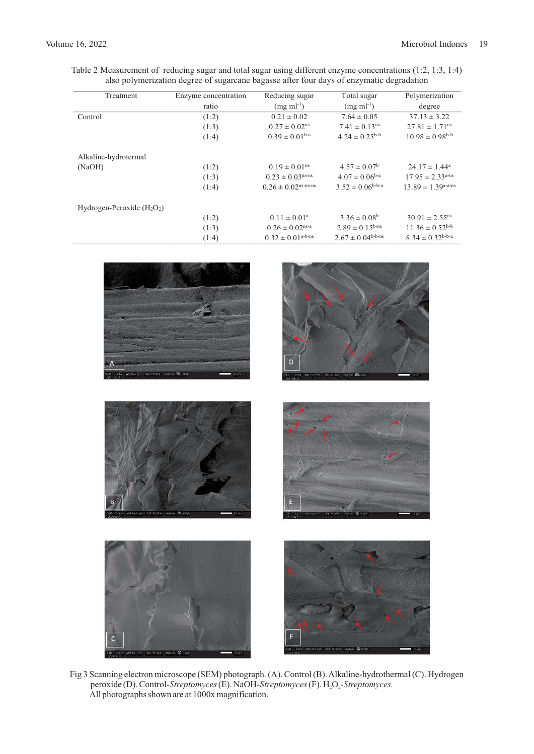| Treatment                    | Enzyme concentration | Reducing sugar                    | Total sugar                     | Polymerization                     |
|------------------------------|----------------------|-----------------------------------|---------------------------------|------------------------------------|
|                              | ratio                | $(mg \, ml^{-1})$                 | $(mg \, ml^{-1})$               | degree                             |
| Control                      | (1:2)                | $0.21 \pm 0.02$                   | $7.64 \pm 0.05$                 | $37.13 \pm 3.22$                   |
|                              | (1:3)                | $0.27 \pm 0.02^{\text{ns}}$       | $7.41 \pm 0.13$ <sup>ns</sup>   | $27.81 \pm 1.71$ <sup>ns</sup>     |
|                              | (1:4)                | $0.39 \pm 0.01b-a$                | $4.24 \pm 0.25^{\text{b-b}}$    | $10.98 \pm 0.98$ <sup>b-b</sup>    |
| Alkaline-hydrotermal         |                      |                                   |                                 |                                    |
| (NaOH)                       | (1:2)                | $0.19 \pm 0.01^{\text{ns}}$       | $4.57 \pm 0.07^{\rm b}$         | $24.17 \pm 1.44^a$                 |
|                              | (1:3)                | $0.23 \pm 0.03$ <sup>ns-ns</sup>  | $4.07 \pm 0.06^{b-a}$           | $17.95 \pm 2.33$ <sup>a-ns</sup>   |
|                              | (1:4)                | $0.26 \pm 0.02$ ns-ns-ns          | $3.52 \pm 0.06^{b-b-a}$         | $13.89 \pm 1.39$ <sup>a-a-ns</sup> |
| Hydrogen-Peroxide $(H_2O_2)$ |                      |                                   |                                 |                                    |
|                              | (1:2)                | $0.11 \pm 0.01^a$                 | $3.36 \pm 0.08^b$               | $30.91 \pm 2.55$ <sup>ns</sup>     |
|                              | (1:3)                | $0.26 \pm 0.02$ <sup>ns-a</sup>   | $2.89 \pm 0.15^{b-ns}$          | $11.36 \pm 0.52^{b-b}$             |
|                              | (1:4)                | $0.32 \pm 0.01$ <sup>a-b-ns</sup> | $2.67 \pm 0.04^{\text{b-b-ns}}$ | $8.34 \pm 0.32$ <sup>b-b-a</sup>   |

| 11kV Wolterwin, Salimburg Highway Britain<br><b>Sur</b> | D<br>WD 157 mm 68-40 300<br><b>Highle</b><br><b>B</b> 14500<br>10%% |
|---------------------------------------------------------|---------------------------------------------------------------------|
| 3345 W2160.wo Sul PC300 Highwa 00+100                   | сах молокине заглеже нуми Фатов.                                    |
| c                                                       | E<br>SBL, 1031. WORK NH. SM RCMD. Highla: @https:                   |

Table 2 Measurement of reducing sugar and total sugar using different enzyme concentrations (1:2, 1:3, 1:4) also polymerization degree of sugarcane bagasse after four days of enzymatic degradation

Fig 3 Scanning electron microscope (SEM) photograph. (A). Control (B). Alkaline-hydrothermal (C). Hydrogen peroxide (D). Control-Streptomyces (E). NaOH-Streptomyces (F). H<sub>2</sub>O<sub>2</sub>-Streptomyces. All photographs shown are at 1000x magnification.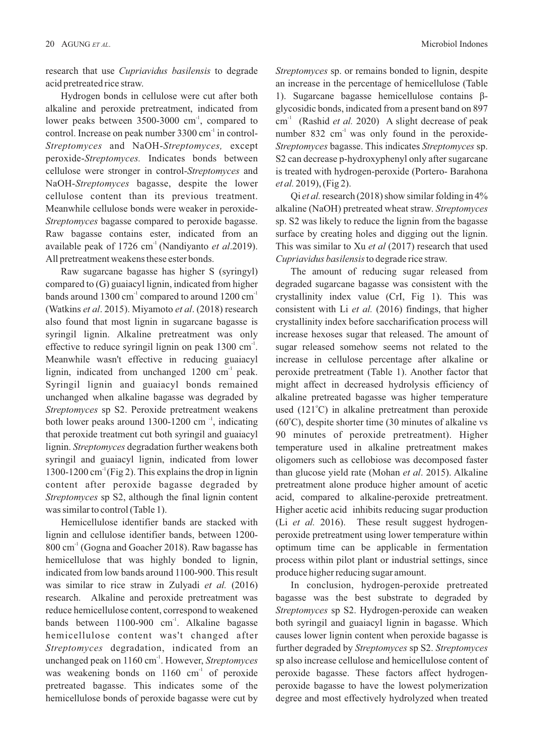research that use *Cupriavidus basilensis* to degrade acid pretreated rice straw.

Hydrogen bonds in cellulose were cut after both alkaline and peroxide pretreatment, indicated from lower peaks between  $3500-3000$  cm<sup>-1</sup>, compared to control. Increase on peak number  $3300 \text{ cm}^{-1}$  in control-*Streptomyces* and NaOH-Streptomyces, except peroxide-Streptomyces. Indicates bonds between cellulose were stronger in control-Streptomyces and NaOH-Streptomyces bagasse, despite the lower cellulose content than its previous treatment. Meanwhile cellulose bonds were weaker in peroxide-*Streptomyces* bagasse compared to peroxide bagasse. Raw bagasse contains ester, indicated from an available peak of  $1726 \text{ cm}^{-1}$  (Nandiyanto *et al.* 2019). All pretreatment weakens these ester bonds.

Raw sugarcane bagasse has higher S (syringyl) compared to (G) guaiacyl lignin, indicated from higher bands around  $1300 \text{ cm}^{-1}$  compared to around  $1200 \text{ cm}^{-1}$ (Watkins et al. 2015). Miyamoto et al. (2018) research also found that most lignin in sugarcane bagasse is syringil lignin. Alkaline pretreatment was only effective to reduce syringil lignin on peak  $1300 \text{ cm}^{-1}$ . Meanwhile wasn't effective in reducing guaiacyl lignin, indicated from unchanged  $1200 \text{ cm}^{-1}$  peak. Syringil lignin and guaiacyl bonds remained unchanged when alkaline bagasse was degraded by *Streptomyces* sp S2. Peroxide pretreatment weakens both lower peaks around  $1300-1200$  cm<sup>-1</sup>, indicating that peroxide treatment cut both syringil and guaiacyl lignin. Streptomyces degradation further weakens both syringil and guaiacyl lignin, indicated from lower 1300-1200 cm<sup> $1$ </sup>(Fig 2). This explains the drop in lignin content after peroxide bagasse degraded by *Streptomyces* sp S2, although the final lignin content was similar to control (Table 1).

Hemicellulose identifier bands are stacked with lignin and cellulose identifier bands, between 1200-  $800 \text{ cm}^3$  (Gogna and Goacher 2018). Raw bagasse has hemicellulose that was highly bonded to lignin, indicated from low bands around 1100-900. This result was similar to rice straw in Zulyadi *et al.* (2016) research. Alkaline and peroxide pretreatment was reduce hemicellulose content, correspond to weakened bands between  $1100-900$  cm<sup>-1</sup>. Alkaline bagasse hemicellulose content was't changed after *Streptomyces* degradation, indicated from an unchanged peak on 1160 cm<sup>-1</sup>. However, *Streptomyces* was weakening bonds on  $1160 \text{ cm}^1$  of peroxide pretreated bagasse. This indicates some of the hemicellulose bonds of peroxide bagasse were cut by

*Streptomyces* sp. or remains bonded to lignin, despite an increase in the percentage of hemicellulose (Table 1). Sugarcane bagasse hemicellulose contains βglycosidic bonds, indicated from a present band on 897  $cm<sup>-1</sup>$  (Rashid *et al.* 2020) A slight decrease of peak number  $832 \text{ cm}^3$  was only found in the peroxide-*Streptomyces* bagasse. This indicates *Streptomyces* sp. S2 can decrease p-hydroxyphenyl only after sugarcane is treated with hydrogen-peroxide (Portero- Barahona *et al.* 2019), (Fig 2).

Qi *et al.* research (2018) show similar folding in  $4\%$ alkaline (NaOH) pretreated wheat straw. *Streptomyces* sp. S2 was likely to reduce the lignin from the bagasse surface by creating holes and digging out the lignin. This was similar to Xu et al (2017) research that used *Cupriavidus basilensis*to degrade rice straw.

The amount of reducing sugar released from degraded sugarcane bagasse was consistent with the crystallinity index value (CrI, Fig 1). This was consistent with Li *et al.* (2016) findings, that higher crystallinity index before saccharification process will increase hexoses sugar that released. The amount of sugar released somehow seems not related to the increase in cellulose percentage after alkaline or peroxide pretreatment (Table 1). Another factor that might affect in decreased hydrolysis efficiency of alkaline pretreated bagasse was higher temperature used  $(121^{\circ}$ C) in alkaline pretreatment than peroxide  $(60^{\circ}$ C), despite shorter time (30 minutes of alkaline vs 90 minutes of peroxide pretreatment). Higher temperature used in alkaline pretreatment makes oligomers such as cellobiose was decomposed faster than glucose yield rate (Mohan *et al.* 2015). Alkaline pretreatment alone produce higher amount of acetic acid, compared to alkaline-peroxide pretreatment. Higher acetic acid inhibits reducing sugar production (Li *et al.* 2016). These result suggest hydrogenperoxide pretreatment using lower temperature within optimum time can be applicable in fermentation process within pilot plant or industrial settings, since produce higher reducing sugar amount.

In conclusion, hydrogen-peroxide pretreated bagasse was the best substrate to degraded by *Streptomyces* sp S2. Hydrogen-peroxide can weaken both syringil and guaiacyl lignin in bagasse. Which causes lower lignin content when peroxide bagasse is further degraded by Streptomyces sp S2. Streptomyces sp also increase cellulose and hemicellulose content of peroxide bagasse. These factors affect hydrogenperoxide bagasse to have the lowest polymerization degree and most effectively hydrolyzed when treated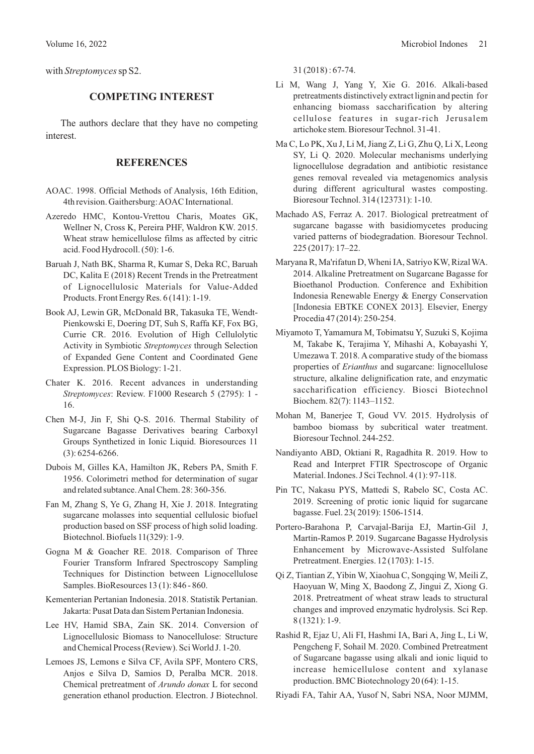with *Streptomyces* sp S2.

### **COMPETING INTEREST**

The authors declare that they have no competing interest.

## **REFERENCES**

- AOAC. 1998. Official Methods of Analysis, 16th Edition, 4th revision. Gaithersburg:AOAC International.
- Azeredo HMC, Kontou-Vrettou Charis, Moates GK, Wellner N, Cross K, Pereira PHF, Waldron KW. 2015. Wheat straw hemicellulose films as affected by citric acid. Food Hydrocoll. (50): 1-6.
- Baruah J, Nath BK, Sharma R, Kumar S, Deka RC, Baruah DC, Kalita E (2018) Recent Trends in the Pretreatment of Lignocellulosic Materials for Value-Added Products. Front Energy Res. 6 (141): 1-19.
- Book AJ, Lewin GR, McDonald BR, Takasuka TE, Wendt-Pienkowski E, Doering DT, Suh S, Raffa KF, Fox BG, Currie CR. 2016. Evolution of High Cellulolytic Activity in Symbiotic Streptomyces through Selection of Expanded Gene Content and Coordinated Gene Expression. PLOS Biology: 1-21.
- Chater K. 2016. Recent advances in understanding *Streptomyces*: Review. F1000 Research 5 (2795): 1 - 16.
- Chen M-J, Jin F, Shi Q-S. 2016. Thermal Stability of Sugarcane Bagasse Derivatives bearing Carboxyl Groups Synthetized in Ionic Liquid. Bioresources 11 (3): 6254-6266.
- Dubois M, Gilles KA, Hamilton JK, Rebers PA, Smith F. 1956. Colorimetri method for determination of sugar and related subtance.Anal Chem. 28: 360-356.
- Fan M, Zhang S, Ye G, Zhang H, Xie J. 2018. Integrating sugarcane molasses into sequential cellulosic biofuel production based on SSF process of high solid loading. Biotechnol. Biofuels 11(329): 1-9.
- Gogna M & Goacher RE. 2018. Comparison of Three Fourier Transform Infrared Spectroscopy Sampling Techniques for Distinction between Lignocellulose Samples. BioResources 13 (1): 846 - 860.
- Kementerian Pertanian Indonesia. 2018. Statistik Pertanian. Jakarta: Pusat Data dan Sistem Pertanian Indonesia.
- Lee HV, Hamid SBA, Zain SK. 2014. Conversion of Lignocellulosic Biomass to Nanocellulose: Structure and Chemical Process (Review). Sci World J. 1-20.
- Lemoes JS, Lemons e Silva CF, Avila SPF, Montero CRS, Anjos e Silva D, Samios D, Peralba MCR. 2018. Chemical pretreatment of Arundo donax L for second generation ethanol production. Electron. J Biotechnol.

31 (2018) : 67-74.

- Li M, Wang J, Yang Y, Xie G. 2016. Alkali-based pretreatments distinctively extract lignin and pectin for enhancing biomass saccharification by altering cellulose features in sugar-rich Jerusalem artichoke stem. Bioresour Technol. 31-41.
- Ma C, Lo PK, Xu J, Li M, Jiang Z, Li G, Zhu Q, Li X, Leong SY, Li Q. 2020. Molecular mechanisms underlying lignocellulose degradation and antibiotic resistance genes removal revealed via metagenomics analysis during different agricultural wastes composting. Bioresour Technol. 314 (123731): 1-10.
- Machado AS, Ferraz A. 2017. Biological pretreatment of sugarcane bagasse with basidiomycetes producing varied patterns of biodegradation. Bioresour Technol. 225 (2017): 17–22.
- Maryana R, Ma'rifatun D, Wheni IA, Satriyo KW, Rizal WA. 2014. Alkaline Pretreatment on Sugarcane Bagasse for Bioethanol Production. Conference and Exhibition Indonesia Renewable Energy & Energy Conservation [Indonesia EBTKE CONEX 2013]. Elsevier, Energy Procedia 47 (2014): 250-254.
- Miyamoto T, Yamamura M, Tobimatsu Y, Suzuki S, Kojima M, Takabe K, Terajima Y, Mihashi A, Kobayashi Y, Umezawa T. 2018. A comparative study of the biomass properties of **Erianthus** and sugarcane: lignocellulose structure, alkaline delignification rate, and enzymatic saccharification efficiency. Biosci Biotechnol Biochem. 82(7): 1143–1152.
- Mohan M, Banerjee T, Goud VV. 2015. Hydrolysis of bamboo biomass by subcritical water treatment. Bioresour Technol. 244-252.
- Nandiyanto ABD, Oktiani R, Ragadhita R. 2019. How to Read and Interpret FTIR Spectroscope of Organic Material. Indones. J Sci Technol. 4 (1): 97-118.
- Pin TC, Nakasu PYS, Mattedi S, Rabelo SC, Costa AC. 2019. Screening of protic ionic liquid for sugarcane bagasse. Fuel. 23(2019): 1506-1514.
- Portero-Barahona P, Carvajal-Barija EJ, Martin-Gil J, Martin-Ramos P. 2019. Sugarcane Bagasse Hydrolysis Enhancement by Microwave-Assisted Sulfolane Pretreatment. Energies. 12 (1703): 1-15.
- Qi Z, Tiantian Z, Yibin W, Xiaohua C, Songqing W, Meili Z, Haoyuan W, Ming X, Baodong Z, Jingui Z, Xiong G. 2018. Pretreatment of wheat straw leads to structural changes and improved enzymatic hydrolysis. Sci Rep. 8 (1321): 1-9.
- Rashid R, Ejaz U, Ali FI, Hashmi IA, Bari A, Jing L, Li W, Pengcheng F, Sohail M. 2020. Combined Pretreatment of Sugarcane bagasse using alkali and ionic liquid to increase hemicellulose content and xylanase production. BMC Biotechnology 20 (64): 1-15.
- Riyadi FA, Tahir AA, Yusof N, Sabri NSA, Noor MJMM,